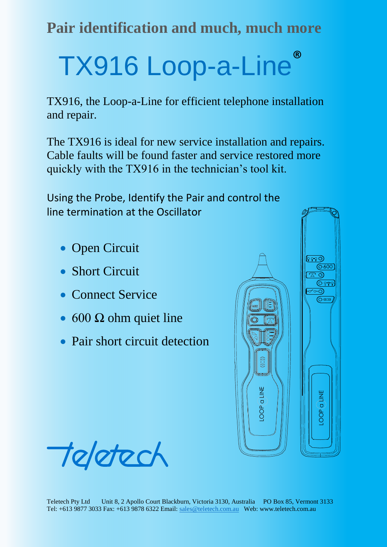**Pair identification and much, much more**

# TX916 Loop-a-Line®

TX916, the Loop-a-Line for efficient telephone installation and repair.

The TX916 is ideal for new service installation and repairs. Cable faults will be found faster and service restored more quickly with the TX916 in the technician's tool kit.

Using the Probe, Identify the Pair and control the line termination at the Oscillator

- Open Circuit
- Short Circuit
- Connect Service
- $\bullet$  600  $\Omega$  ohm quiet line
- Pair short circuit detection